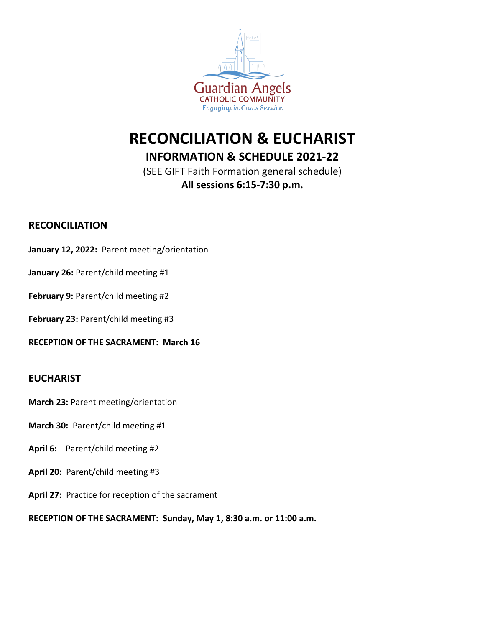

# **RECONCILIATION & EUCHARIST**

# **INFORMATION & SCHEDULE 2021-22**

(SEE GIFT Faith Formation general schedule) **All sessions 6:15-7:30 p.m.**

# **RECONCILIATION**

**January 12, 2022:** Parent meeting/orientation

### January 26: Parent/child meeting #1

### February 9: Parent/child meeting #2

February 23: Parent/child meeting #3

**RECEPTION OF THE SACRAMENT: March 16**

# **EUCHARIST**

- **March 23:** Parent meeting/orientation
- **March 30:** Parent/child meeting #1
- **April 6:** Parent/child meeting #2
- **April 20:** Parent/child meeting #3
- **April 27:** Practice for reception of the sacrament

**RECEPTION OF THE SACRAMENT: Sunday, May 1, 8:30 a.m. or 11:00 a.m.**